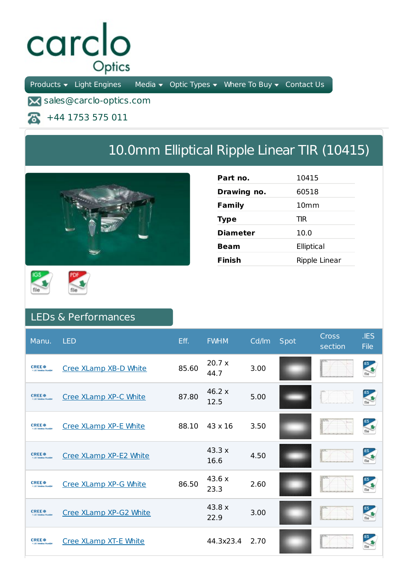## carclo Optics

Products  $\bullet$  Light Engines Media  $\bullet$  Optic Types  $\bullet$  Where To Buy  $\bullet$  Contact Us

**X** sales@carclo-optics.com

+44 1753 575 011 尽

## 10.0mm Elliptical Ripple Linear TIR (10415)



| Part no.        | 10415            |
|-----------------|------------------|
| Drawing no.     | 60518            |
| Family          | 10 <sub>mm</sub> |
| <b>Type</b>     | TIR              |
| <b>Diameter</b> | 10.0             |
| Beam            | Elliptical       |
| Finish          | Ripple Linear    |





## LEDs & Performances

| Manu.                                                                  | <b>LED</b>                   | Eff.  | <b>FWHM</b>           | Cd/lm | Spot | Cross<br>section | JES<br><b>File</b> |
|------------------------------------------------------------------------|------------------------------|-------|-----------------------|-------|------|------------------|--------------------|
| <b>CREE</b> <sup><math>\bullet</math></sup><br>1183 Saledon Provide    | Cree XLamp XB-D White        | 85.60 | 20.7 x<br>44.7        | 3.00  |      |                  |                    |
| <b>CREE</b> <sup><math>\bullet</math></sup><br>3-140 Salesbury Pre     | Cree XLamp XP-C White        | 87.80 | 46.2 $\times$<br>12.5 | 5.00  |      |                  | <b>IES</b>         |
| <b>CREE</b> <sup><math>\bullet</math></sup><br>3-140 Salestine Preside | Cree XLamp XP-E White        | 88.10 | $43 \times 16$        | 3.50  |      |                  | <b>IES</b>         |
| <b>CREE</b> <sup><math>\theta</math></sup><br>3 J.El Salution Provide  | Cree XLamp XP-E2 White       |       | 43.3x<br>16.6         | 4.50  |      |                  |                    |
| <b>CREE</b> <sup><math>\bullet</math></sup><br>3110 Solution For       | Cree XLamp XP-G White        | 86.50 | 43.6 x<br>23.3        | 2.60  |      |                  |                    |
| <b>CREE</b> <sup><math>\bullet</math></sup>                            | Cree XLamp XP-G2 White       |       | 43.8 x<br>22.9        | 3.00  |      |                  | <b>IES</b>         |
| <b>CREE</b> <sup><math>\bullet</math></sup><br>3-140 Salution Project  | <b>Cree XLamp XT-E White</b> |       | 44.3x23.4             | 2.70  |      |                  |                    |